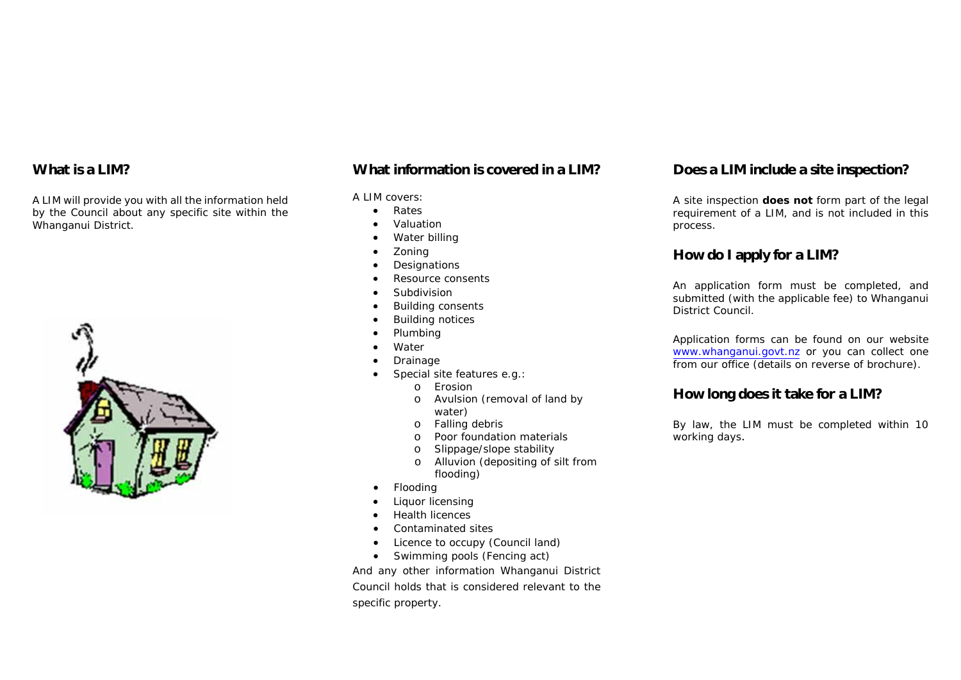#### **What is a LIM?**

A LIM will provide you with all the information held by the Council about any specific site within the Whanganui District.



#### **What information is covered in a LIM?**

#### A LIM covers:

- $\bullet$ Rates
- ۰ Valuation
- ۰ Water billing
- e Zoning
- e **Designations**
- ۰ Resource consents
- ۰ Subdivision
- $\bullet$ Building consents
- $\bullet$ Building notices
- $\bullet$ Plumbing
- ۰ Water
- ۰ Drainage
- ۰ Special site features e.g.:
	- oErosion
	- o Avulsion (removal of land by water)
	- oFalling debris
	- oPoor foundation materials
	- oSlippage/slope stability
	- o Alluvion (depositing of silt from flooding)
- $\bullet$ Flooding
- ۰ Liquor licensing
- $\bullet$ Health licences
- $\bullet$ Contaminated sites
- $\bullet$ Licence to occupy (Council land)
- Swimming pools (Fencing act)

And any other information Whanganui District Council holds that is considered relevant to the specific property.

### **Does a LIM include a site inspection?**

A site inspection **does not** form part of the legal requirement of a LIM, and is not included in this process.

#### **How do I apply for a LIM?**

An application form must be completed, and submitted (with the applicable fee) to Whanganui District Council.

Application forms can be found on our website www.whanganui.govt.nz or you can collect one from our office (details on reverse of brochure).

#### **How long does it take for a LIM?**

By law, the LIM must be completed within 10 working days.